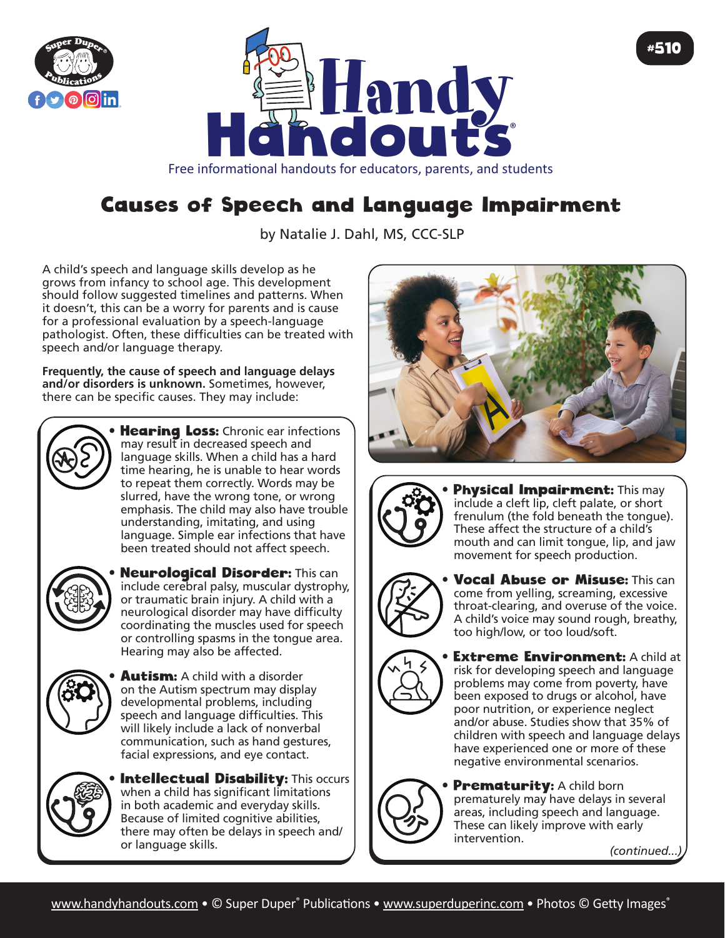



Free informational handouts for educators, parents, and students

## Causes of Speech and Language Impairment

by Natalie J. Dahl, MS, CCC-SLP

A child's speech and language skills develop as he grows from infancy to school age. This development should follow suggested timelines and patterns. When it doesn't, this can be a worry for parents and is cause for a professional evaluation by a speech-language pathologist. Often, these difficulties can be treated with speech and/or language therapy.

**Frequently, the cause of speech and language delays and/or disorders is unknown.** Sometimes, however, there can be specific causes. They may include:



**Hearing Loss:** Chronic ear infections may result in decreased speech and language skills. When a child has a hard time hearing, he is unable to hear words to repeat them correctly. Words may be slurred, have the wrong tone, or wrong emphasis. The child may also have trouble understanding, imitating, and using language. Simple ear infections that have been treated should not affect speech.



**Neurological Disorder: This can** include cerebral palsy, muscular dystrophy, or traumatic brain injury. A child with a neurological disorder may have difficulty coordinating the muscles used for speech or controlling spasms in the tongue area. Hearing may also be affected.



**Autism:** A child with a disorder on the Autism spectrum may display developmental problems, including speech and language difficulties. This will likely include a lack of nonverbal communication, such as hand gestures, facial expressions, and eye contact.



**Intellectual Disability: This occurs** when a child has significant limitations in both academic and everyday skills. Because of limited cognitive abilities, there may often be delays in speech and/ or language skills.





Physical Impairment: This may include a cleft lip, cleft palate, or short frenulum (the fold beneath the tongue). These affect the structure of a child's mouth and can limit tongue, lip, and jaw movement for speech production.



**Vocal Abuse or Misuse: This can** come from yelling, screaming, excessive throat-clearing, and overuse of the voice. A child's voice may sound rough, breathy, too high/low, or too loud/soft.



**Extreme Environment: A child at** risk for developing speech and language problems may come from poverty, have been exposed to drugs or alcohol, have poor nutrition, or experience neglect and/or abuse. Studies show that 35% of children with speech and language delays have experienced one or more of these negative environmental scenarios.



**Prematurity:** A child born prematurely may have delays in several areas, including speech and language. These can likely improve with early intervention.

*(continued...)*

#510